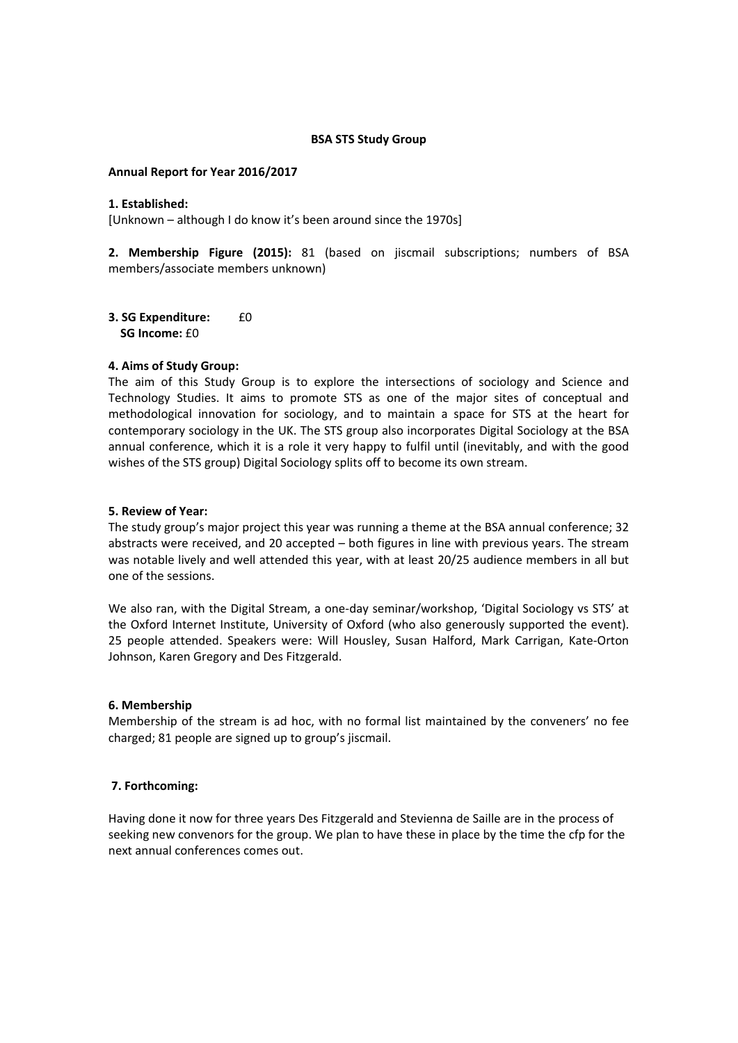## **BSA STS Study Group**

## **Annual Report for Year 2016/2017**

#### **1. Established:**

[Unknown – although I do know it's been around since the 1970s]

**2. Membership Figure (2015):** 81 (based on jiscmail subscriptions; numbers of BSA members/associate members unknown)

**3. SG Expenditure:** £0 **SG Income:** £0

# **4. Aims of Study Group:**

The aim of this Study Group is to explore the intersections of sociology and Science and Technology Studies. It aims to promote STS as one of the major sites of conceptual and methodological innovation for sociology, and to maintain a space for STS at the heart for contemporary sociology in the UK. The STS group also incorporates Digital Sociology at the BSA annual conference, which it is a role it very happy to fulfil until (inevitably, and with the good wishes of the STS group) Digital Sociology splits off to become its own stream.

#### **5. Review of Year:**

The study group's major project this year was running a theme at the BSA annual conference; 32 abstracts were received, and 20 accepted – both figures in line with previous years. The stream was notable lively and well attended this year, with at least 20/25 audience members in all but one of the sessions.

We also ran, with the Digital Stream, a one-day seminar/workshop, 'Digital Sociology vs STS' at the Oxford Internet Institute, University of Oxford (who also generously supported the event). 25 people attended. Speakers were: Will Housley, Susan Halford, Mark Carrigan, Kate‐Orton Johnson, Karen Gregory and Des Fitzgerald.

# **6. Membership**

Membership of the stream is ad hoc, with no formal list maintained by the conveners' no fee charged; 81 people are signed up to group's jiscmail.

# **7. Forthcoming:**

Having done it now for three years Des Fitzgerald and Stevienna de Saille are in the process of seeking new convenors for the group. We plan to have these in place by the time the cfp for the next annual conferences comes out.